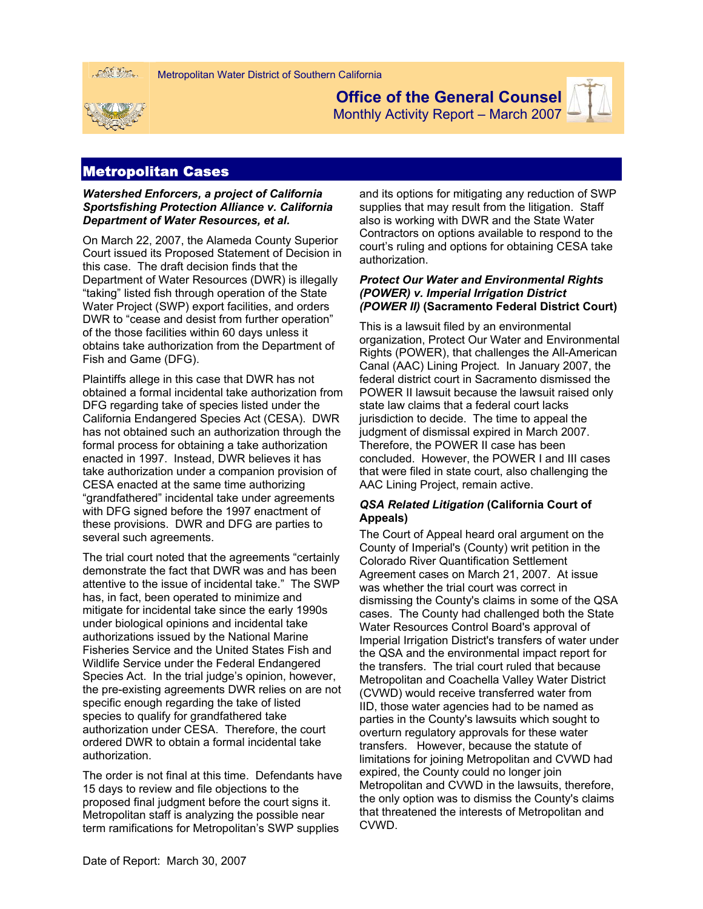



**Office of the General Counsel** 

Monthly Activity Report – March 2007



# Metropolitan Cases

### *Watershed Enforcers, a project of California Sportsfishing Protection Alliance v. California Department of Water Resources, et al.*

On March 22, 2007, the Alameda County Superior Court issued its Proposed Statement of Decision in this case. The draft decision finds that the Department of Water Resources (DWR) is illegally "taking" listed fish through operation of the State Water Project (SWP) export facilities, and orders DWR to "cease and desist from further operation" of the those facilities within 60 days unless it obtains take authorization from the Department of Fish and Game (DFG).

Plaintiffs allege in this case that DWR has not obtained a formal incidental take authorization from DFG regarding take of species listed under the California Endangered Species Act (CESA). DWR has not obtained such an authorization through the formal process for obtaining a take authorization enacted in 1997. Instead, DWR believes it has take authorization under a companion provision of CESA enacted at the same time authorizing "grandfathered" incidental take under agreements with DFG signed before the 1997 enactment of these provisions. DWR and DFG are parties to several such agreements.

The trial court noted that the agreements "certainly demonstrate the fact that DWR was and has been attentive to the issue of incidental take." The SWP has, in fact, been operated to minimize and mitigate for incidental take since the early 1990s under biological opinions and incidental take authorizations issued by the National Marine Fisheries Service and the United States Fish and Wildlife Service under the Federal Endangered Species Act. In the trial judge's opinion, however, the pre-existing agreements DWR relies on are not specific enough regarding the take of listed species to qualify for grandfathered take authorization under CESA. Therefore, the court ordered DWR to obtain a formal incidental take authorization.

The order is not final at this time. Defendants have 15 days to review and file objections to the proposed final judgment before the court signs it. Metropolitan staff is analyzing the possible near term ramifications for Metropolitan's SWP supplies

and its options for mitigating any reduction of SWP supplies that may result from the litigation. Staff also is working with DWR and the State Water Contractors on options available to respond to the court's ruling and options for obtaining CESA take authorization.

### *Protect Our Water and Environmental Rights (POWER) v. Imperial Irrigation District (POWER II)* **(Sacramento Federal District Court)**

This is a lawsuit filed by an environmental organization, Protect Our Water and Environmental Rights (POWER), that challenges the All-American Canal (AAC) Lining Project. In January 2007, the federal district court in Sacramento dismissed the POWER II lawsuit because the lawsuit raised only state law claims that a federal court lacks jurisdiction to decide. The time to appeal the judgment of dismissal expired in March 2007. Therefore, the POWER II case has been concluded. However, the POWER I and III cases that were filed in state court, also challenging the AAC Lining Project, remain active.

## *QSA Related Litigation* **(California Court of Appeals)**

The Court of Appeal heard oral argument on the County of Imperial's (County) writ petition in the Colorado River Quantification Settlement Agreement cases on March 21, 2007. At issue was whether the trial court was correct in dismissing the County's claims in some of the QSA cases. The County had challenged both the State Water Resources Control Board's approval of Imperial Irrigation District's transfers of water under the QSA and the environmental impact report for the transfers. The trial court ruled that because Metropolitan and Coachella Valley Water District (CVWD) would receive transferred water from IID, those water agencies had to be named as parties in the County's lawsuits which sought to overturn regulatory approvals for these water transfers. However, because the statute of limitations for joining Metropolitan and CVWD had expired, the County could no longer join Metropolitan and CVWD in the lawsuits, therefore, the only option was to dismiss the County's claims that threatened the interests of Metropolitan and CVWD.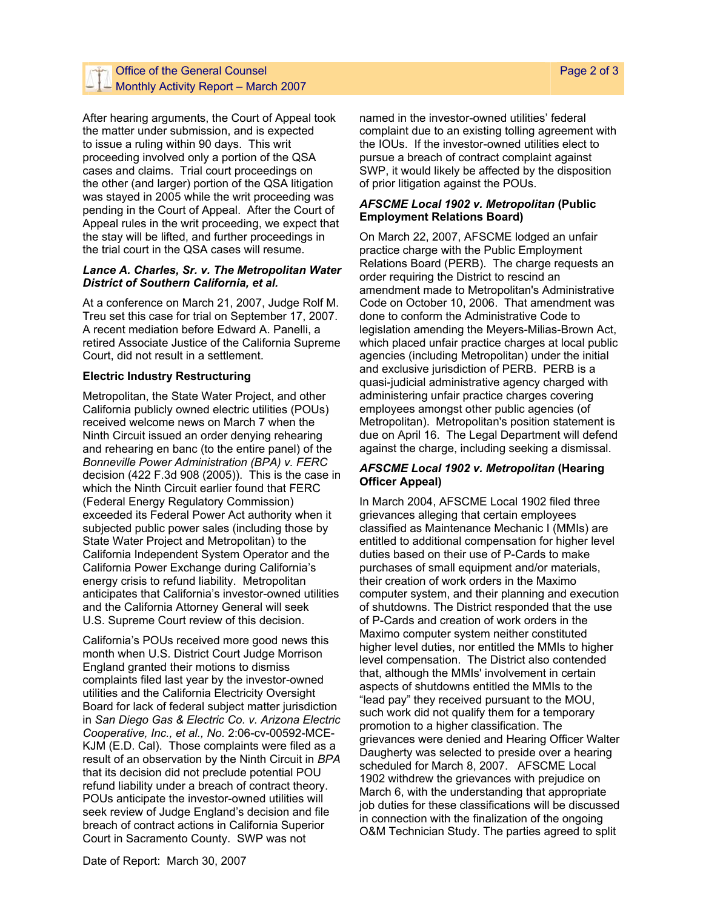## Office of the General Counsel  $-$  Monthly Activity Report – March 2007

After hearing arguments, the Court of Appeal took the matter under submission, and is expected to issue a ruling within 90 days. This writ proceeding involved only a portion of the QSA cases and claims. Trial court proceedings on the other (and larger) portion of the QSA litigation was stayed in 2005 while the writ proceeding was pending in the Court of Appeal. After the Court of Appeal rules in the writ proceeding, we expect that the stay will be lifted, and further proceedings in the trial court in the QSA cases will resume.

#### *Lance A. Charles, Sr. v. The Metropolitan Water District of Southern California, et al.*

At a conference on March 21, 2007, Judge Rolf M. Treu set this case for trial on September 17, 2007. A recent mediation before Edward A. Panelli, a retired Associate Justice of the California Supreme Court, did not result in a settlement.

## **Electric Industry Restructuring**

Metropolitan, the State Water Project, and other California publicly owned electric utilities (POUs) received welcome news on March 7 when the Ninth Circuit issued an order denying rehearing and rehearing en banc (to the entire panel) of the *Bonneville Power Administration (BPA) v. FERC*  decision (422 F.3d 908 (2005)). This is the case in which the Ninth Circuit earlier found that FERC (Federal Energy Regulatory Commission) exceeded its Federal Power Act authority when it subjected public power sales (including those by State Water Project and Metropolitan) to the California Independent System Operator and the California Power Exchange during California's energy crisis to refund liability. Metropolitan anticipates that California's investor-owned utilities and the California Attorney General will seek U.S. Supreme Court review of this decision.

California's POUs received more good news this month when U.S. District Court Judge Morrison England granted their motions to dismiss complaints filed last year by the investor-owned utilities and the California Electricity Oversight Board for lack of federal subject matter jurisdiction in *San Diego Gas & Electric Co. v. Arizona Electric Cooperative, Inc., et al., No.* 2:06-cv-00592-MCE-KJM (E.D. Cal). Those complaints were filed as a result of an observation by the Ninth Circuit in *BPA*  that its decision did not preclude potential POU refund liability under a breach of contract theory. POUs anticipate the investor-owned utilities will seek review of Judge England's decision and file breach of contract actions in California Superior Court in Sacramento County. SWP was not

named in the investor-owned utilities' federal complaint due to an existing tolling agreement with the IOUs. If the investor-owned utilities elect to pursue a breach of contract complaint against SWP, it would likely be affected by the disposition of prior litigation against the POUs.

### *AFSCME Local 1902 v. Metropolitan* **(Public Employment Relations Board)**

On March 22, 2007, AFSCME lodged an unfair practice charge with the Public Employment Relations Board (PERB). The charge requests an order requiring the District to rescind an amendment made to Metropolitan's Administrative Code on October 10, 2006. That amendment was done to conform the Administrative Code to legislation amending the Meyers-Milias-Brown Act, which placed unfair practice charges at local public agencies (including Metropolitan) under the initial and exclusive jurisdiction of PERB. PERB is a quasi-judicial administrative agency charged with administering unfair practice charges covering employees amongst other public agencies (of Metropolitan). Metropolitan's position statement is due on April 16. The Legal Department will defend against the charge, including seeking a dismissal.

### *AFSCME Local 1902 v. Metropolitan* **(Hearing Officer Appeal)**

In March 2004, AFSCME Local 1902 filed three grievances alleging that certain employees classified as Maintenance Mechanic I (MMIs) are entitled to additional compensation for higher level duties based on their use of P-Cards to make purchases of small equipment and/or materials, their creation of work orders in the Maximo computer system, and their planning and execution of shutdowns. The District responded that the use of P-Cards and creation of work orders in the Maximo computer system neither constituted higher level duties, nor entitled the MMIs to higher level compensation. The District also contended that, although the MMIs' involvement in certain aspects of shutdowns entitled the MMIs to the "lead pay" they received pursuant to the MOU, such work did not qualify them for a temporary promotion to a higher classification. The grievances were denied and Hearing Officer Walter Daugherty was selected to preside over a hearing scheduled for March 8, 2007. AFSCME Local 1902 withdrew the grievances with prejudice on March 6, with the understanding that appropriate job duties for these classifications will be discussed in connection with the finalization of the ongoing O&M Technician Study. The parties agreed to split